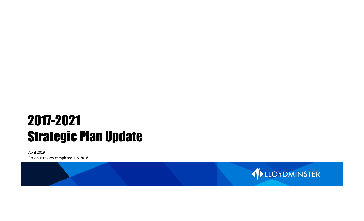# 2017-2021 Strategic Plan Update

April 2019 Previous review completed July 2018

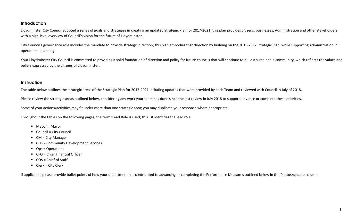#### **Introduction**

Lloydminster City Council adopted a series of goals and strategies in creating an updated Strategic Plan for 2017-2021; this plan provides citizens, businesses, Administration and other stakeholders with a high-level overview of Council's vision for the future of Lloydminster.

City Council's governance role includes the mandate to provide strategic direction; this plan embodies that direction by building on the 2015-2017 Strategic Plan, while supporting Administration in operational planning.

Your Lloydminster City Council is committed to providing a solid foundation of direction and policy for future councils that will continue to build a sustainable community, which reflects the values and beliefs expressed by the citizens of Lloydminster.

#### **Instruction**

The table below outlines the strategic areas of the Strategic Plan for 2017-2021 including updates that were provided by each Team and reviewed with Council in July of 2018.

Please review the strategic areas outlined below, considering any work your team has done since the last review in July 2018 to support, advance or complete these priorities.

Some of your actions/activities may fit under more than one strategic area; you may duplicate your response where appropriate.

Throughout the tables on the following pages, the term 'Lead Role is used; this list identifies the lead role:

- Mayor = Mayor
- Council = City Council
- CM = City Manager
- CDS = Community Development Services
- Ops = Operations
- CFO = Chief Financial Officer
- COS = Chief of Staff
- Clerk = City Clerk

If applicable, please provide bullet points of how your department has contributed to advancing or completing the Performance Measures outlined below in the "status/update column.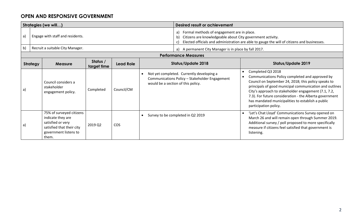#### **OPEN AND RESPONSIVE GOVERNMENT**

| Strategies (we will) |                                                                                                                                   |                         |                  |  | Desired result or achievement                                                                                                                                                                                       |                                                                                                                                                                                                                                                                                                                                                                                                       |  |
|----------------------|-----------------------------------------------------------------------------------------------------------------------------------|-------------------------|------------------|--|---------------------------------------------------------------------------------------------------------------------------------------------------------------------------------------------------------------------|-------------------------------------------------------------------------------------------------------------------------------------------------------------------------------------------------------------------------------------------------------------------------------------------------------------------------------------------------------------------------------------------------------|--|
| a)                   | Engage with staff and residents.                                                                                                  |                         |                  |  | Formal methods of engagement are in place.<br>a)<br>Citizens are knowledgeable about City government activity.<br>b)<br>Elected officials and administration are able to gauge the will of citizens and businesses. |                                                                                                                                                                                                                                                                                                                                                                                                       |  |
| b)                   | Recruit a suitable City Manager.                                                                                                  |                         |                  |  | A permanent City Manager is in place by fall 2017.<br>a)                                                                                                                                                            |                                                                                                                                                                                                                                                                                                                                                                                                       |  |
|                      |                                                                                                                                   |                         |                  |  | <b>Performance Measures</b>                                                                                                                                                                                         |                                                                                                                                                                                                                                                                                                                                                                                                       |  |
| <b>Strategy</b>      | <b>Measure</b>                                                                                                                    | Status /<br>target time | <b>Lead Role</b> |  | <b>Status/Update 2018</b>                                                                                                                                                                                           | <b>Status/Update 2019</b>                                                                                                                                                                                                                                                                                                                                                                             |  |
| a)                   | Council considers a<br>stakeholder<br>engagement policy.                                                                          | Completed               | Council/CM       |  | Not yet completed. Currently developing a<br>Communications Policy - Stakeholder Engagement<br>would be a section of this policy.                                                                                   | Completed Q3 2018<br>$\bullet$<br>Communications Policy completed and approved by<br>Council on September 24, 2018; this policy speaks to<br>principals of good municipal communication and outlines<br>City's approach to stakeholder engagement (7.1, 7.2,<br>7.3). For future consideration - the Alberta government<br>has mandated municipalities to establish a public<br>participation policy. |  |
| a)                   | 75% of surveyed citizens<br>indicate they are<br>satisfied or very<br>satisfied that their city<br>government listens to<br>them. | 2019 Q2                 | <b>COS</b>       |  | Survey to be completed in Q2 2019                                                                                                                                                                                   | 'Let's Chat Lloyd' Communications Survey opened on<br>$\bullet$<br>March 26 and will remain open through Summer 2019.<br>Additional survey / poll proposed to more specifically<br>measure if citizens feel satisfied that government is<br>listening.                                                                                                                                                |  |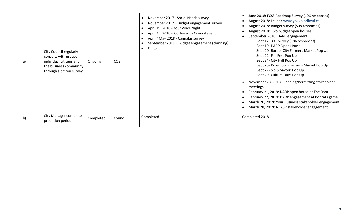| a)           | City Council regularly<br>consults with groups,<br>individual citizens and<br>the business community<br>through a citizen survey. | Ongoing   | <b>COS</b> | November 2017 - Social Needs survey<br>November 2017 - Budget engagement survey<br>April 19, 2018 - Your Voice Night<br>April 25, 2018 - Coffee with Council event<br>April / May 2018 - Cannabis survey<br>September 2018 - Budget engagement (planning)<br>Ongoing | June 2018: FCSS Roadmap Survey (106 responses)<br>$\bullet$<br>August 2018: Launch www.youvoicelloyd.ca<br>August 2018: Budget survey (508 responses)<br>August 2018: Two budget open houses<br>September 2018: DARP engagement<br>Sept 17-30 - Survey (186 responses)<br>Sept 19- DARP Open House<br>Sept 20- Border City Farmers Market Pop Up<br>Sept 22- Fall Fest Pop Up<br>Sept 24- City Hall Pop Up<br>Sept 25- Downtown Farmers Market Pop Up<br>Sept 27- Sip & Savour Pop Up<br>Sept 29- Culture Days Pop Up |
|--------------|-----------------------------------------------------------------------------------------------------------------------------------|-----------|------------|----------------------------------------------------------------------------------------------------------------------------------------------------------------------------------------------------------------------------------------------------------------------|-----------------------------------------------------------------------------------------------------------------------------------------------------------------------------------------------------------------------------------------------------------------------------------------------------------------------------------------------------------------------------------------------------------------------------------------------------------------------------------------------------------------------|
|              |                                                                                                                                   |           |            |                                                                                                                                                                                                                                                                      | November 28, 2018: Planning/Permitting stakeholder<br>meetings<br>February 21, 2019: DARP open house at The Root<br>February 22, 2019: DARP engagement at Bobcats game<br>March 26, 2019: Your Business stakeholder engagement<br>March 28, 2019: NEASP stakeholder engagement                                                                                                                                                                                                                                        |
| $\mathsf{b}$ | <b>City Manager completes</b><br>probation period.                                                                                | Completed | Council    | Completed                                                                                                                                                                                                                                                            | Completed 2018                                                                                                                                                                                                                                                                                                                                                                                                                                                                                                        |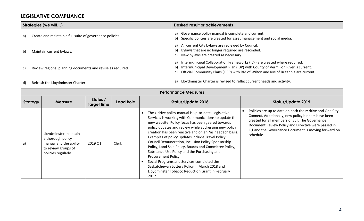#### **LEGISLATIVE COMPLIANCE**

|    |                 | Strategies (we will)                                                                                                |                         |                             |                                                       | <b>Desired result or achievements</b>                                                                                                                                                                                                                                                                                                                                                                                                                                                                                                                                                                                                                         |                                                                                                                                                                                                                                                                                               |  |
|----|-----------------|---------------------------------------------------------------------------------------------------------------------|-------------------------|-----------------------------|-------------------------------------------------------|---------------------------------------------------------------------------------------------------------------------------------------------------------------------------------------------------------------------------------------------------------------------------------------------------------------------------------------------------------------------------------------------------------------------------------------------------------------------------------------------------------------------------------------------------------------------------------------------------------------------------------------------------------------|-----------------------------------------------------------------------------------------------------------------------------------------------------------------------------------------------------------------------------------------------------------------------------------------------|--|
| a) |                 | Create and maintain a full suite of governance policies.                                                            |                         |                             |                                                       | Governance policy manual is complete and current.<br>a)<br>Specific policies are created for asset management and social media.                                                                                                                                                                                                                                                                                                                                                                                                                                                                                                                               |                                                                                                                                                                                                                                                                                               |  |
| b) |                 | Maintain current bylaws.                                                                                            |                         |                             |                                                       | All current City bylaws are reviewed by Council.<br>a)<br>Bylaws that are no longer required are rescinded.<br>b)<br>New bylaws are created as necessary.<br>C)                                                                                                                                                                                                                                                                                                                                                                                                                                                                                               |                                                                                                                                                                                                                                                                                               |  |
| c) |                 | Review regional planning documents and revise as required.                                                          |                         |                             |                                                       | Intermunicipal Collaboration Frameworks (ICF) are created where required.<br>a)<br>Intermunicipal Development Plan (IDP) with County of Vermilion River is current.<br>b)<br>Official Community Plans (OCP) with RM of Wilton and RM of Britannia are current.<br>C)                                                                                                                                                                                                                                                                                                                                                                                          |                                                                                                                                                                                                                                                                                               |  |
| d) |                 | Refresh the Lloydminster Charter.                                                                                   |                         |                             |                                                       | Lloydminster Charter is revised to reflect current needs and activity.<br>a)                                                                                                                                                                                                                                                                                                                                                                                                                                                                                                                                                                                  |                                                                                                                                                                                                                                                                                               |  |
|    |                 |                                                                                                                     |                         | <b>Performance Measures</b> |                                                       |                                                                                                                                                                                                                                                                                                                                                                                                                                                                                                                                                                                                                                                               |                                                                                                                                                                                                                                                                                               |  |
|    | <b>Strategy</b> | <b>Measure</b>                                                                                                      | Status /<br>target time | <b>Lead Role</b>            |                                                       | <b>Status/Update 2018</b>                                                                                                                                                                                                                                                                                                                                                                                                                                                                                                                                                                                                                                     | <b>Status/Update 2019</b>                                                                                                                                                                                                                                                                     |  |
| a) |                 | Lloydminster maintains<br>a thorough policy<br>manual and the ability<br>to review groups of<br>policies regularly. | 2019 Q1                 | Clerk                       | $\bullet$<br>Procurement Policy.<br>$\bullet$<br>2017 | The z-drive policy manual is up-to-date. Legislative<br>Services is working with Communications to update the<br>new website. Policy focus has been geared towards<br>policy updates and review while addressing new policy<br>creation has been reactive and on an "as needed" basis.<br>Examples of policy updates include Travel Policy,<br>Council Remuneration, Inclusion Policy Sponsorship<br>Policy, Land Sale Policy, Boards and Committee Policy,<br>Substance Use Policy and the Purchasing and<br>Social Programs and Services completed the<br>Saskatchewan Lottery Policy in March 2018 and<br>Lloydminster Tobacco Reduction Grant in February | Policies are up to date on both the z: drive and One City<br>Connect. Additionally, new policy binders have been<br>created for all members of ELT. The Governance<br>Document Review Policy and Directive were passed in<br>Q1 and the Governance Document is moving forward on<br>schedule. |  |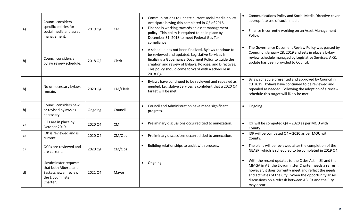| a)            | <b>Council considers</b><br>specific policies for<br>social media and asset<br>management.            | 2019 Q4 | <b>CM</b> | Communications to update current social media policy.<br>$\bullet$<br>Anticipate having this completed in Q3 of 2018.<br>Finance is working towards an asset management<br>$\bullet$<br>policy. This policy is required to be in place by<br>December 31, 2018 to meet Federal Gas Tax<br>compliance. | Communications Policy and Social Media Directive cover<br>appropriate use of social media.<br>Finance is currently working on an Asset Management<br>Policy.                                                                                                                                                |
|---------------|-------------------------------------------------------------------------------------------------------|---------|-----------|-------------------------------------------------------------------------------------------------------------------------------------------------------------------------------------------------------------------------------------------------------------------------------------------------------|-------------------------------------------------------------------------------------------------------------------------------------------------------------------------------------------------------------------------------------------------------------------------------------------------------------|
| b)            | Council considers a<br>bylaw review schedule.                                                         | 2018 Q2 | Clerk     | A schedule has not been finalized. Bylaws continue to<br>be reviewed and updated. Legislative Services is<br>finalizing a Governance Document Policy to guide the<br>creation and review of Bylaws, Policies, and Directives.<br>This policy should come forward with a schedule in<br>2018 Q4.       | The Governance Document Review Policy was passed by<br>Council on January 28, 2019 and sets in place a bylaw<br>review schedule managed by Legislative Services. A Q1<br>update has been provided to Council.                                                                                               |
| b)            | No unnecessary bylaws<br>remain.                                                                      | 2020 Q4 | CM/Clerk  | Bylaws have continued to be reviewed and repealed as<br>$\bullet$<br>needed. Legislative Services is confident that a 2020 Q4<br>target will be met.                                                                                                                                                  | Bylaw schedule presented and approved by Council in<br>Q1 2019. Bylaws have continued to be reviewed and<br>repealed as needed. Following the adoption of a review<br>schedule this target will likely be met.                                                                                              |
| b)            | Council considers new<br>or revised bylaws as<br>necessary.                                           | Ongoing | Council   | Council and Administration have made significant<br>progress.                                                                                                                                                                                                                                         | Ongoing<br>$\bullet$                                                                                                                                                                                                                                                                                        |
| $\mathsf{c})$ | ICFs are in place by<br>October 2019.                                                                 | 2020 Q4 | <b>CM</b> | Preliminary discussions occurred tied to annexation.                                                                                                                                                                                                                                                  | ICF will be competed Q4 - 2020 as per MOU with<br>County.                                                                                                                                                                                                                                                   |
| $\mathsf{c})$ | IDP is reviewed and is<br>current.                                                                    | 2020 Q4 | CM/Ops    | Preliminary discussions occurred tied to annexation.<br>$\bullet$                                                                                                                                                                                                                                     | IDP will be competed Q4 - 2020 as per MOU with<br>County.                                                                                                                                                                                                                                                   |
| c)            | OCPs are reviewed and<br>are current.                                                                 | 2020 Q4 | CM/Ops    | Building relationships to assist with process.                                                                                                                                                                                                                                                        | The plans will be reviewed after the completion of the<br>NEASP, which is scheduled to be completed in 2019 Q4.                                                                                                                                                                                             |
| d)            | Lloydminster requests<br>that both Alberta and<br>Saskatchewan review<br>the Lloydminster<br>Charter. | 2021 Q4 | Mayor     | Ongoing<br>$\bullet$                                                                                                                                                                                                                                                                                  | With the recent updates to the Cities Act in SK and the<br>MMGA in AB, the Lloydminster Charter needs a refresh,<br>however, it does currently meet and reflect the needs<br>and activities of the City. When the opportunity arises,<br>discussions on a refresh between AB, SK and the City<br>may occur. |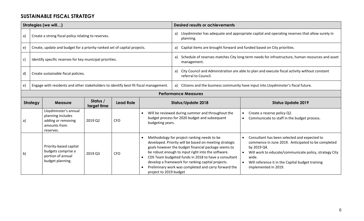#### **SUSTAINABLE FISCAL STRATEGY**

|              |                                     | Strategies (we will)                                                                          |                         |                  |                                                               | <b>Desired results or achievements</b>                                                                                                                                                                                                                                                                                                                                                  |                                                                                                                                                                                                                                                                                                         |  |  |
|--------------|-------------------------------------|-----------------------------------------------------------------------------------------------|-------------------------|------------------|---------------------------------------------------------------|-----------------------------------------------------------------------------------------------------------------------------------------------------------------------------------------------------------------------------------------------------------------------------------------------------------------------------------------------------------------------------------------|---------------------------------------------------------------------------------------------------------------------------------------------------------------------------------------------------------------------------------------------------------------------------------------------------------|--|--|
| a)           |                                     | Create a strong fiscal policy relating to reserves.                                           |                         |                  |                                                               | a)<br>planning.                                                                                                                                                                                                                                                                                                                                                                         | Lloydminster has adequate and appropriate capital and operating reserves that allow surety in                                                                                                                                                                                                           |  |  |
| e)           |                                     | Create, update and budget for a priority-ranked set of capital projects.                      |                         |                  |                                                               | Capital items are brought forward and funded based on City priorities.<br>a)                                                                                                                                                                                                                                                                                                            |                                                                                                                                                                                                                                                                                                         |  |  |
| c)           |                                     | Identify specific reserves for key municipal priorities.                                      |                         |                  |                                                               | Schedule of reserves matches City long-term needs for infrastructure, human resources and asset<br>a)<br>management.                                                                                                                                                                                                                                                                    |                                                                                                                                                                                                                                                                                                         |  |  |
| d)           | Create sustainable fiscal policies. |                                                                                               |                         |                  |                                                               | City Council and Administration are able to plan and execute fiscal activity without constant<br>a)<br>referral to Council.                                                                                                                                                                                                                                                             |                                                                                                                                                                                                                                                                                                         |  |  |
| e)           |                                     | Engage with residents and other stakeholders to identify best-fit fiscal management.          |                         |                  |                                                               |                                                                                                                                                                                                                                                                                                                                                                                         | a) Citizens and the business community have input into Lloydminster's fiscal future.                                                                                                                                                                                                                    |  |  |
|              | <b>Performance Measures</b>         |                                                                                               |                         |                  |                                                               |                                                                                                                                                                                                                                                                                                                                                                                         |                                                                                                                                                                                                                                                                                                         |  |  |
|              | <b>Strategy</b>                     | <b>Measure</b>                                                                                | Status /<br>target time | <b>Lead Role</b> | <b>Status/Update 2018</b>                                     |                                                                                                                                                                                                                                                                                                                                                                                         | <b>Status Update 2019</b>                                                                                                                                                                                                                                                                               |  |  |
| a)           |                                     | Lloydminster's annual<br>planning includes<br>adding or removing<br>amounts from<br>reserves. | 2019 Q2                 | <b>CFO</b>       | $\bullet$<br>budgeting years.                                 | Will be reviewed during summer and throughout the<br>budget process for 2020 budget and subsequent                                                                                                                                                                                                                                                                                      | Create a reserve policy Q2.<br>Communicate to staff in the budget process.                                                                                                                                                                                                                              |  |  |
| $\mathsf{b}$ |                                     | Priority-based capital<br>budgets comprise a<br>portion of annual<br>budget planning.         | 2019 Q3                 | <b>CFO</b>       | $\bullet$<br>$\bullet$<br>$\bullet$<br>project to 2019 budget | Methodology for project ranking needs to be<br>developed. Priority will be based on meeting strategic<br>goals however the budget financial package seems to<br>be robust enough to input right into the software.<br>CDS Team budgeted funds in 2018 to have a consultant<br>develop a framework for ranking capital projects.<br>Preliminary work was completed and carry forward the | Consultant has been selected and expected to<br>$\bullet$<br>commence in June 2019. Anticipated to be completed<br>by 2019 Q4.<br>Will work to educate/communicate policy, strategy City<br>$\bullet$<br>wide.<br>Will reference it in the Capital budget training<br>$\bullet$<br>implemented in 2019. |  |  |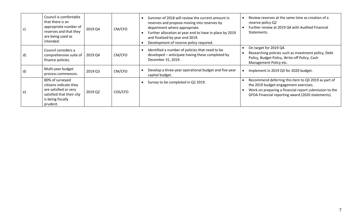| C)           | Council is comfortable<br>that there is an<br>appropriate number of<br>reserves and that they<br>are being used as<br>intended.  | 2019 Q4 | CM/CFO  | Summer of 2018 will review the current amount in<br>reserves and propose moving into reserves by<br>department where appropriate.<br>Further allocation at year end to have in place by 2019<br>and finalized by year end 2019.<br>Development of reserve policy required. | Review reserves at the same time as creation of a<br>reserve policy Q2<br>Further review at 2019 Q4 with Audited Financial<br>Statements.                                                                   |
|--------------|----------------------------------------------------------------------------------------------------------------------------------|---------|---------|----------------------------------------------------------------------------------------------------------------------------------------------------------------------------------------------------------------------------------------------------------------------------|-------------------------------------------------------------------------------------------------------------------------------------------------------------------------------------------------------------|
| $\mathsf{d}$ | Council considers a<br>comprehensive suite of  <br>finance policies.                                                             | 2019 Q4 | CM/CFO  | Identified a number of policies that need to be<br>developed - anticipate having these completed by<br>December 31, 2019.                                                                                                                                                  | On target for 2019 Q4.<br>Researching policies such as investment policy, Debt<br>Policy, Budget Policy, Write off Policy, Cash<br>Management Policy etc.                                                   |
| $\mathsf{d}$ | Multi-year budget<br>process commences.                                                                                          | 2019 Q3 | CM/CFO  | Develop a three-year operational budget and five-year<br>capital budget.                                                                                                                                                                                                   | Implement in 2019 Q3 for 2020 budget.<br>$\bullet$                                                                                                                                                          |
| e)           | 80% of surveyed<br>citizens indicate they<br>are satisfied or very<br>satisfied that their city<br>is being fiscally<br>prudent. | 2019 Q2 | COS/CFO | Survey to be completed in Q2 2019.                                                                                                                                                                                                                                         | Recommend deferring this item to Q3 2019 as part of<br>the 2019 budget-engagement exercises.<br>Work on preparing a financial report submission to the<br>GFOA Financial reporting award (2020 statements). |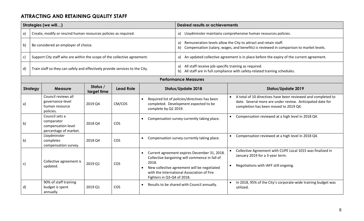## **ATTRACTING AND RETAINING QUALITY STAFF**

|              |                             | Strategies (we will)                                                         |                         |                  |                                                                                                                                                                                                                                                              | <b>Desired results or achievements</b>                                                     |                                                                                                                                                                                 |  |  |  |  |
|--------------|-----------------------------|------------------------------------------------------------------------------|-------------------------|------------------|--------------------------------------------------------------------------------------------------------------------------------------------------------------------------------------------------------------------------------------------------------------|--------------------------------------------------------------------------------------------|---------------------------------------------------------------------------------------------------------------------------------------------------------------------------------|--|--|--|--|
| a)           |                             | Create, modify or rescind human resources policies as required.              |                         |                  |                                                                                                                                                                                                                                                              | a) Lloydminster maintains comprehensive human resources policies.                          |                                                                                                                                                                                 |  |  |  |  |
| b)           |                             | Be considered an employer of choice.                                         |                         |                  |                                                                                                                                                                                                                                                              | a)                                                                                         | Remuneration levels allow the City to attract and retain staff.<br>b) Compensation (salary, wages, and benefits) is reviewed in comparison to market levels.                    |  |  |  |  |
| $\mathsf{c}$ |                             | Support City staff who are within the scope of the collective agreement.     |                         |                  |                                                                                                                                                                                                                                                              | a) An updated collective agreement is in place before the expiry of the current agreement. |                                                                                                                                                                                 |  |  |  |  |
| d)           |                             | Train staff so they can safely and effectively provide services to the City. |                         |                  |                                                                                                                                                                                                                                                              | a) All staff receive job-specific training as required.                                    | b) All staff are in full compliance with safety-related training schedules.                                                                                                     |  |  |  |  |
|              | <b>Performance Measures</b> |                                                                              |                         |                  |                                                                                                                                                                                                                                                              |                                                                                            |                                                                                                                                                                                 |  |  |  |  |
|              | <b>Strategy</b>             | <b>Measure</b>                                                               | Status /<br>target time | <b>Lead Role</b> |                                                                                                                                                                                                                                                              | <b>Status/Update 2018</b>                                                                  | <b>Status/Update 2019</b>                                                                                                                                                       |  |  |  |  |
| a)           |                             | Council reviews all<br>governance-level<br>human resource<br>policies.       | 2019 Q4                 | CM/COS           | $\bullet$<br>complete by Q2 2019.                                                                                                                                                                                                                            | Required list of policies/directives has been<br>completed. Development expected to be     | A total of 10 directives have been reviewed and completed to<br>$\bullet$<br>date. Several more are under review. Anticipated date for<br>completion has been moved to 2019 Q4. |  |  |  |  |
| b)           |                             | Council sets a<br>comparator<br>compensation level<br>percentage of market.  | 2018 Q4                 | COS              |                                                                                                                                                                                                                                                              | Compensation survey currently taking place.                                                | Compensation reviewed at a high level in 2018 Q4.                                                                                                                               |  |  |  |  |
| b)           |                             | Lloydminster<br>completes<br>compensation survey.                            | 2018 Q4                 | <b>COS</b>       |                                                                                                                                                                                                                                                              | Compensation survey currently taking place.                                                | Compensation reviewed at a high level in 2018 Q4.                                                                                                                               |  |  |  |  |
| c)           |                             | Collective agreement is<br>updated.                                          | 2019 Q1                 | COS              | Current agreement expires December 31, 2018.<br>$\bullet$<br>Collective bargaining will commence in fall of<br>2018.<br>New collective agreement will be negotiated<br>$\bullet$<br>with the International Association of Fire<br>Fighters in Q3-Q4 of 2018. |                                                                                            | Collective Agreement with CUPE Local 1015 was finalized in<br>January 2019 for a 3-year term.<br>Negotiations with IAFF still ongoing.<br>$\bullet$                             |  |  |  |  |
| d)           |                             | 90% of staff training<br>budget is spent<br>annually.                        | 2019 Q1                 | <b>COS</b>       | $\bullet$                                                                                                                                                                                                                                                    | Results to be shared with Council annually.                                                | In 2018, 95% of the City's corporate-wide training budget was<br>utilized.                                                                                                      |  |  |  |  |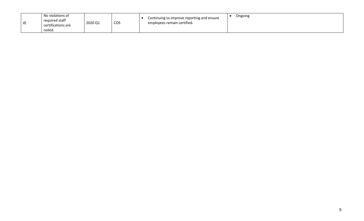| d) | No violations of<br>required staff<br>certifications are<br>noted. | 2020 Q1 | COS | Continuing to improve reporting and ensure<br>employees remain certified. | Ongoing |
|----|--------------------------------------------------------------------|---------|-----|---------------------------------------------------------------------------|---------|
|----|--------------------------------------------------------------------|---------|-----|---------------------------------------------------------------------------|---------|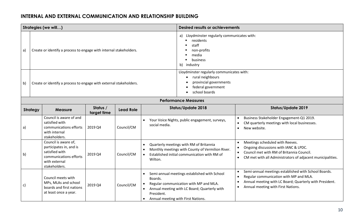#### **INTERNAL AND EXTERNAL COMMUNICATION AND RELATIONSHIP BUILDING**

|    |                 | Strategies (we will)                                                                                                          |                         |                  |                                                                          | <b>Desired results or achievements</b>                                                                                                      |                                                                                                                                                                                                                                                     |  |
|----|-----------------|-------------------------------------------------------------------------------------------------------------------------------|-------------------------|------------------|--------------------------------------------------------------------------|---------------------------------------------------------------------------------------------------------------------------------------------|-----------------------------------------------------------------------------------------------------------------------------------------------------------------------------------------------------------------------------------------------------|--|
| a) |                 | Create or identify a process to engage with internal stakeholders.                                                            |                         |                  |                                                                          | Lloydminster regularly communicates with:<br>a)<br>residents<br>staff<br>non-profits<br>media<br>business<br>b)<br>industry                 |                                                                                                                                                                                                                                                     |  |
| b) |                 | Create or identify a process to engage with external stakeholders.                                                            |                         |                  |                                                                          | Lloydminster regularly communicates with:<br>rural neighbours<br>provincial governments<br>federal government<br>school boards              |                                                                                                                                                                                                                                                     |  |
|    |                 |                                                                                                                               |                         |                  |                                                                          | <b>Performance Measures</b>                                                                                                                 |                                                                                                                                                                                                                                                     |  |
|    | <b>Strategy</b> | <b>Measure</b>                                                                                                                | Status /<br>target time | <b>Lead Role</b> |                                                                          | <b>Status/Update 2018</b>                                                                                                                   | <b>Status/Update 2019</b>                                                                                                                                                                                                                           |  |
| a) |                 | Council is aware of and<br>satisfied with<br>communications efforts<br>with internal<br>stakeholders.                         | 2019 Q4                 | Council/CM       | $\bullet$<br>social media.                                               | Your Voice Nights, public engagement, surveys,                                                                                              | Business Stakeholder Engagement-Q1 2019.<br>$\bullet$<br>CM quarterly meetings with local businesses.<br>$\bullet$<br>New website.<br>$\bullet$                                                                                                     |  |
| b) |                 | Council is aware of,<br>participates in, and is<br>satisfied with<br>communications efforts<br>with external<br>stakeholders. | 2019 Q4                 | Council/CM       | $\bullet$<br>Wilton.                                                     | Quarterly meetings with RM of Britannia<br>Monthly meetings with County of Vermilion River.<br>Established initial communication with RM of | Meetings scheduled with Reeves.<br>$\bullet$<br>Ongoing discussions with IANC & LPDC.<br>$\bullet$<br>Council met with RM of Britannia Council.<br>$\bullet$<br>CM met with all Administrators of adjacent municipalities.<br>$\bullet$             |  |
| c) |                 | Council meets with<br>MPs, MLAs and school<br>boards and first nations<br>at least once a year.                               | 2019 Q4                 | Council/CM       | Boards.<br>President.<br>Annual meeting with First Nations.<br>$\bullet$ | Semi-annual meetings established with School<br>Regular communication with MP and MLA.<br>Annual meeting with LC Board; Quarterly with      | Semi-annual meetings established with School Boards.<br>$\bullet$<br>Regular communication with MP and MLA.<br>$\bullet$<br>Annual meeting with LC Board; Quarterly with President.<br>$\bullet$<br>Annual meeting with First Nations.<br>$\bullet$ |  |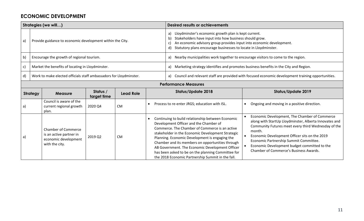#### **ECONOMIC DEVELOPMENT**

|    | Strategies (we will)                                                             |                                                                                                 |                           |           |                                               | <b>Desired results or achievements</b>                                                                                                                                                                                                                                                                                                                                                                                                                                 |           |                                                                                                                                                                                                                                                                                                                                                                      |  |  |
|----|----------------------------------------------------------------------------------|-------------------------------------------------------------------------------------------------|---------------------------|-----------|-----------------------------------------------|------------------------------------------------------------------------------------------------------------------------------------------------------------------------------------------------------------------------------------------------------------------------------------------------------------------------------------------------------------------------------------------------------------------------------------------------------------------------|-----------|----------------------------------------------------------------------------------------------------------------------------------------------------------------------------------------------------------------------------------------------------------------------------------------------------------------------------------------------------------------------|--|--|
| a) |                                                                                  | Provide guidance to economic development within the City.                                       |                           |           |                                               | Lloydminster's economic growth plan is kept current.<br>a)<br>Stakeholders have input into how business should grow.<br>b)<br>An economic advisory group provides input into economic development.<br>C)<br>Statutory plans encourage businesses to locate in Lloydminster.<br>d)                                                                                                                                                                                      |           |                                                                                                                                                                                                                                                                                                                                                                      |  |  |
| b) |                                                                                  | Encourage the growth of regional tourism.                                                       |                           |           |                                               | Nearby municipalities work together to encourage visitors to come to the region.<br>a)                                                                                                                                                                                                                                                                                                                                                                                 |           |                                                                                                                                                                                                                                                                                                                                                                      |  |  |
| c) | Market the benefits of locating in Lloydminster.                                 |                                                                                                 |                           |           |                                               | Marketing strategy identifies and promotes business benefits in the City and Region.<br>a)                                                                                                                                                                                                                                                                                                                                                                             |           |                                                                                                                                                                                                                                                                                                                                                                      |  |  |
| d) |                                                                                  | Work to make elected officials staff ambassadors for Lloydminster.                              |                           |           | a)                                            |                                                                                                                                                                                                                                                                                                                                                                                                                                                                        |           | Council and relevant staff are provided with focused economic development training opportunities.                                                                                                                                                                                                                                                                    |  |  |
|    | <b>Performance Measures</b>                                                      |                                                                                                 |                           |           |                                               |                                                                                                                                                                                                                                                                                                                                                                                                                                                                        |           |                                                                                                                                                                                                                                                                                                                                                                      |  |  |
|    | Status /<br><b>Strategy</b><br><b>Lead Role</b><br><b>Measure</b><br>target time |                                                                                                 | <b>Status/Update 2018</b> |           | <b>Status/Update 2019</b>                     |                                                                                                                                                                                                                                                                                                                                                                                                                                                                        |           |                                                                                                                                                                                                                                                                                                                                                                      |  |  |
| a) |                                                                                  | Council is aware of the<br>current regional growth<br>plan.                                     | 2020 Q4                   | <b>CM</b> | Process to re-enter JRGS; education with ISL. |                                                                                                                                                                                                                                                                                                                                                                                                                                                                        |           | Ongoing and moving in a positive direction.                                                                                                                                                                                                                                                                                                                          |  |  |
| a) |                                                                                  | <b>Chamber of Commerce</b><br>is an active partner in<br>economic development<br>with the city. | 2019 Q2                   | <b>CM</b> |                                               | Continuing to build relationship between Economic<br>Development Officer and the Chamber of<br>Commerce. The Chamber of Commerce is an active<br>stakeholder in the Economic Development Strategic<br>Planning. Economic Development is engaging the<br>Chamber and its members on opportunities through<br>AB Government. The Economic Development Officer<br>has been asked to be on the planning Committee for<br>the 2018 Economic Partnership Summit in the fall. | $\bullet$ | Economic Development, The Chamber of Commerce<br>along with StartUp Lloydminster, Alberta Innovates and<br>Community Futures meet every third Wednesday of the<br>month.<br>Economic Development Officer sits on the 2019<br>Economic Partnership Summit Committee.<br>Economic Development budget committed to the<br><b>Chamber of Commerce's Business Awards.</b> |  |  |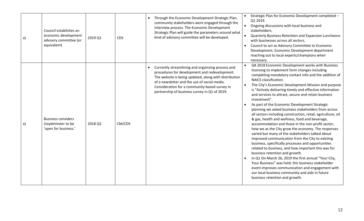| a) | Council establishes an<br>economic development<br>advisory committee (or<br>equivalent) | 2019 Q1 | <b>CDS</b> | Through the Economic Development Strategic Plan,<br>community stakeholders were engaged through the<br>interview process. The Economic Development<br>Strategic Plan will guide the parameters around what<br>kind of advisory committee will be developed.                                                   | Strategic Plan for Economic Development completed -<br>Q1 2019.<br>Ongoing discussions with local business and<br>$\bullet$<br>stakeholders.<br>Quarterly Business Retention and Expansion Luncheons<br>$\bullet$<br>with businesses across all sectors.<br>Council to act as Advisory Committee to Economic<br>Development. Economic Development department<br>reaching out to local experts/champions when<br>necessary.                                                                                                                                                                                                                                                                                                                                                                                                                                                                                                                                                                                                                                                                                                                                                                                                                    |
|----|-----------------------------------------------------------------------------------------|---------|------------|---------------------------------------------------------------------------------------------------------------------------------------------------------------------------------------------------------------------------------------------------------------------------------------------------------------|-----------------------------------------------------------------------------------------------------------------------------------------------------------------------------------------------------------------------------------------------------------------------------------------------------------------------------------------------------------------------------------------------------------------------------------------------------------------------------------------------------------------------------------------------------------------------------------------------------------------------------------------------------------------------------------------------------------------------------------------------------------------------------------------------------------------------------------------------------------------------------------------------------------------------------------------------------------------------------------------------------------------------------------------------------------------------------------------------------------------------------------------------------------------------------------------------------------------------------------------------|
| a) | <b>Business considers</b><br>Lloydminster to be<br>'open for business.'                 | 2018 Q2 | CM/CDS     | Currently streamlining and organizing process and<br>procedures for development and redevelopment.<br>The website is being updated, along with distribution<br>of a newsletter and the use of social media.<br>Consideration for a community-based survey in<br>partnership of business survey in Q1 of 2019. | Q4 2018 Economic Development works with Business<br>licensing to implement form changes including<br>completing mandatory contact info and the addition of<br>NAICS classification.<br>The City's Economic Development Mission and purpose<br>$\bullet$<br>is "Actively delivering timely and effective information<br>and services to attract, secure and retain business<br>investment".<br>As part of the Economic Development Strategic<br>planning we asked business stakeholders from across<br>all sectors including construction, retail, agriculture, oil<br>& gas, health and wellness, food and beverage,<br>accommodation and those in the non-profit sector,<br>how we as the City grow the economy. The responses<br>varied but many of the stakeholders talked about<br>improved communication from the City to existing<br>business, specifically processes and opportunities<br>related to business, and how important this was for<br>business retention and growth.<br>In Q1 On March 26, 2019 the first annual "Your City,<br>Your Business" was held, this business stakeholder<br>event improves communication and engagement with<br>our local business community and aids in future<br>business retention and growth. |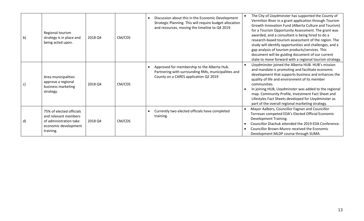| $\mathsf{b}$  | Regional tourism<br>strategy is in place and<br>being acted upon.                                               | 2018 Q4 | CM/CDS | Discussion about this in the Economic Development<br>Strategic Planning. This will require budget allocation<br>and resources, moving the timeline to Q4 2019. | The City of Lloydminster has supported the County of<br>Vermilion River in a grant application through Tourism<br>Growth Innovation Fund (Alberta Culture and Tourism)<br>for a Tourism Opportunity Assessment. The grant was<br>awarded, and a consultant is being hired to do a<br>research-based tourism assessment of the region. The<br>study will identify opportunities and challenges, and a<br>gap analysis of tourism products/services. This<br>document will be guiding document of our current<br>state to move forward with a regional tourism strategy. |
|---------------|-----------------------------------------------------------------------------------------------------------------|---------|--------|----------------------------------------------------------------------------------------------------------------------------------------------------------------|------------------------------------------------------------------------------------------------------------------------------------------------------------------------------------------------------------------------------------------------------------------------------------------------------------------------------------------------------------------------------------------------------------------------------------------------------------------------------------------------------------------------------------------------------------------------|
| $\mathsf{c})$ | Area municipalities<br>approve a regional<br>business marketing<br>strategy.                                    | 2018 Q4 | CM/CDS | Approved for membership to the Alberta Hub.<br>Partnering with surrounding RMs, municipalities and<br>County on a CARES application Q2 2019                    | Lloydminster joined the Alberta HUB. HUB's mission<br>and mandate is promoting and facilitate economic<br>development that supports business and enhances the<br>quality of life and environment of its member<br>communities.<br>In joining HUB, Lloydminster was added to the regional<br>map. Community Profile, Investment Fact Sheet and<br>Lifestyles Fact Sheets developed for Lloydminster as<br>part of the overall regional marketing strategy.                                                                                                              |
| $\mathsf{d}$  | 75% of elected officials<br>and relevant members<br>of administration take<br>economic development<br>training. | 2018 Q4 | CM/CDS | Currently two elected officials have completed<br>training.                                                                                                    | Mayor Aalbers, Councillor Fagnan and Councillor<br>Torresan competed EDA's Elected Official Economic<br>Development Training.<br>Councillor Diachuk attended the 2019 EDA Conference.<br>Councillor Brown-Munro received the Economic<br>Development MLDP course through SUMA.                                                                                                                                                                                                                                                                                         |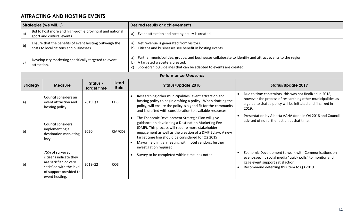## **ATTRACTING AND HOSTING EVENTS**

| Strategies (we will) |                                                                      |                                                                                                                                            |                         |              | <b>Desired results or achievements</b>                                                                                                                                                                                                                                                                                                                              |                                                                                                                                                                                                               |  |  |  |
|----------------------|----------------------------------------------------------------------|--------------------------------------------------------------------------------------------------------------------------------------------|-------------------------|--------------|---------------------------------------------------------------------------------------------------------------------------------------------------------------------------------------------------------------------------------------------------------------------------------------------------------------------------------------------------------------------|---------------------------------------------------------------------------------------------------------------------------------------------------------------------------------------------------------------|--|--|--|
| a)                   |                                                                      | Bid to host more and high-profile provincial and national<br>sport and cultural events.                                                    |                         |              | a) Event attraction and hosting policy is created.                                                                                                                                                                                                                                                                                                                  |                                                                                                                                                                                                               |  |  |  |
| b)                   |                                                                      | Ensure that the benefits of event hosting outweigh the<br>costs to local citizens and businesses.                                          |                         |              | Net revenue is generated from visitors.<br>a)<br>b) Citizens and businesses see benefit in hosting events.                                                                                                                                                                                                                                                          |                                                                                                                                                                                                               |  |  |  |
| $\mathsf{c})$        | Develop city marketing specifically targeted to event<br>attraction. |                                                                                                                                            |                         |              | Partner municipalities, groups, and businesses collaborate to identify and attract events to the region.<br>a)<br>A targeted website is created.<br>b)<br>Sponsorship guidelines that can be adapted to events are created.<br>c)                                                                                                                                   |                                                                                                                                                                                                               |  |  |  |
|                      |                                                                      |                                                                                                                                            |                         |              | <b>Performance Measures</b>                                                                                                                                                                                                                                                                                                                                         |                                                                                                                                                                                                               |  |  |  |
|                      | Strategy                                                             | <b>Measure</b>                                                                                                                             | Status /<br>target time | Lead<br>Role | Status/Update 2018                                                                                                                                                                                                                                                                                                                                                  | <b>Status/Update 2019</b>                                                                                                                                                                                     |  |  |  |
| a)                   |                                                                      | Council considers an<br>event attraction and<br>hosting policy.                                                                            | 2019 Q3                 | <b>CDS</b>   | Researching other municipalities' event attraction and<br>hosting policy to begin drafting a policy. When drafting the<br>policy, will ensure the policy is a good fit for the community<br>and is drafted with consideration to available resources.                                                                                                               | Due to time constraints, this was not finalized in 2018,<br>however the process of researching other municipalities as<br>a guide to draft a policy will be initiated and finalized in<br>2019.               |  |  |  |
| b)                   |                                                                      | Council considers<br>implementing a<br>destination marketing<br>levy.                                                                      | 2020                    | CM/CDS       | The Economic Development Strategic Plan will give<br>guidance on developing a Destination Marketing Fee<br>(DMF). This process will require more stakeholder<br>engagement as well as the creation of a DMF Bylaw. A new<br>target time line should be considered for Q2 2019.<br>Mayor held initial meeting with hotel vendors; further<br>investigation required. | Presentation by Alberta AAHA done in Q4 2018 and Council<br>advised of no further action at that time.                                                                                                        |  |  |  |
| b)                   |                                                                      | 75% of surveyed<br>citizens indicate they<br>are satisfied or very<br>satisfied with the level<br>of support provided to<br>event hosting. | 2019 Q2                 | <b>COS</b>   | Survey to be completed within timelines noted.<br>$\bullet$                                                                                                                                                                                                                                                                                                         | Economic Development to work with Communications on<br>event-specific social media "quick polls" to monitor and<br>gage event support satisfaction.<br>Recommend deferring this item to Q3 2019.<br>$\bullet$ |  |  |  |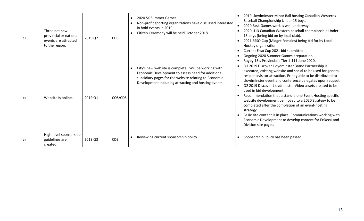| c) | Three net new<br>provincial or national<br>events are attracted<br>to the region. | 2019 Q2 | <b>CDS</b> | 2020 SK Summer Games<br>$\bullet$<br>Non-profit sporting organizations have discussed interested<br>in hold events in 2019.<br>Citizen Ceremony will be held October 2018.<br>$\bullet$                                     | 2019 Lloydminster Minor Ball hosting Canadian Westerns<br>Baseball Championship Under 15 boys.<br>2020 Sask Games work is well underway.<br>$\bullet$<br>2020 U13 Canadian Western baseball championship Under<br>13 boys (being bid on by local club).<br>2021 ESSO Cup (Midget Females) being bid for by Local<br>$\bullet$<br>Hockey organization.<br>Current Esso Cup 2021 bid submitted.<br>Ongoing 2020 Summer Games preparation.<br>Rugby 15's Provincial's Tier 1-111 June 2020.                                                                                                                                                                                                      |
|----|-----------------------------------------------------------------------------------|---------|------------|-----------------------------------------------------------------------------------------------------------------------------------------------------------------------------------------------------------------------------|-----------------------------------------------------------------------------------------------------------------------------------------------------------------------------------------------------------------------------------------------------------------------------------------------------------------------------------------------------------------------------------------------------------------------------------------------------------------------------------------------------------------------------------------------------------------------------------------------------------------------------------------------------------------------------------------------|
| c) | Website is online.                                                                | 2019 Q1 | COS/CDS    | City's new website is complete. Will be working with<br>Economic Development to assess need for additional<br>subsidiary pages for the website relating to Economic<br>Development including attracting and hosting events. | Q1 2019 Discover Lloydminster Brand Partnership is<br>executed, existing website and social to be used for general<br>resident/visitor attraction. Print guide to be distributed to<br>Lloydminster event and conference delegates upon request<br>Q2 2019 Discover Lloydminster Video assets created to be<br>$\bullet$<br>used in bid development.<br>Recommendation that a stand-alone Event Hosting specific<br>website development be moved to a 2020 Strategy to be<br>completed after the completion of an event-hosting<br>strategy.<br>Basic site content is in place. Communications working with<br>Economic Development to develop content for EcDec/Land<br>Division site pages. |
| C) | High-level sponsorship<br>guidelines are<br>created.                              | 2018 Q3 | <b>CDS</b> | Reviewing current sponsorship policy.<br>$\bullet$                                                                                                                                                                          | Sponsorship Policy has been passed.                                                                                                                                                                                                                                                                                                                                                                                                                                                                                                                                                                                                                                                           |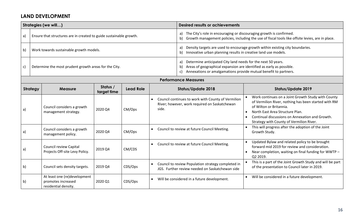#### **LAND DEVELOPMENT**

|    |                             | Strategies (we will)                                                       |                         |                  |                    | <b>Desired results or achievements</b>                                                                                                                                                                                     |                                                                                                                                                                                                                                                                                                   |  |  |  |  |  |
|----|-----------------------------|----------------------------------------------------------------------------|-------------------------|------------------|--------------------|----------------------------------------------------------------------------------------------------------------------------------------------------------------------------------------------------------------------------|---------------------------------------------------------------------------------------------------------------------------------------------------------------------------------------------------------------------------------------------------------------------------------------------------|--|--|--|--|--|
| a) |                             | Ensure that structures are in created to guide sustainable growth.         |                         |                  |                    | The City's role in encouraging or discouraging growth is confirmed.<br>a)<br>Growth management policies, including the use of fiscal tools like offsite levies, are in place.<br>b)                                        |                                                                                                                                                                                                                                                                                                   |  |  |  |  |  |
| b) |                             | Work towards sustainable growth models.                                    |                         |                  |                    | a)<br>Innovative urban planning results in creative land use models.<br>b)                                                                                                                                                 | Density targets are used to encourage growth within existing city boundaries.                                                                                                                                                                                                                     |  |  |  |  |  |
| c) |                             | Determine the most prudent growth areas for the City.                      |                         |                  |                    | Determine anticipated City land needs for the next 50 years.<br>a)<br>Areas of geographical expansion are identified as early as possible.<br>b)<br>Annexations or amalgamations provide mutual benefit to partners.<br>C) |                                                                                                                                                                                                                                                                                                   |  |  |  |  |  |
|    | <b>Performance Measures</b> |                                                                            |                         |                  |                    |                                                                                                                                                                                                                            |                                                                                                                                                                                                                                                                                                   |  |  |  |  |  |
|    | <b>Strategy</b>             | <b>Measure</b>                                                             | Status /<br>target time | <b>Lead Role</b> |                    | <b>Status/Update 2018</b>                                                                                                                                                                                                  | <b>Status/Update 2019</b>                                                                                                                                                                                                                                                                         |  |  |  |  |  |
| a) |                             | Council considers a growth<br>management strategy.                         | 2020 Q4                 | CM/Ops           | $\bullet$<br>side. | Council continues to work with County of Vermilion<br>River; however, work required on Saskatchewan                                                                                                                        | Work continues on a Joint Growth Study with County<br>of Vermilion River, nothing has been started with RM<br>of Wilton or Britannia.<br>North East Area Structure Plan.<br>$\bullet$<br>Continual discussions on Annexation and Growth.<br>$\bullet$<br>Strategy with County of Vermilion River. |  |  |  |  |  |
| a) |                             | Council considers a growth<br>management policy.                           | 2020 Q4                 | CM/Ops           |                    | Council to review at future Council Meeting.                                                                                                                                                                               | This will progress after the adoption of the Joint<br>Growth Study.                                                                                                                                                                                                                               |  |  |  |  |  |
| a) |                             | Council review Capital<br>Projects Off-site Levy Policy.                   | 2019 Q4                 | CM/CDS           | $\bullet$          | Council to review at future Council Meeting.                                                                                                                                                                               | Updated Bylaw and related policy to be brought<br>forward mid 2019 for review and consideration.<br>Near completion, waiting on final funding for WWTP -<br>Q2 2019.                                                                                                                              |  |  |  |  |  |
| b) |                             | Council sets density targets.                                              | 2019 Q4                 | CDS/Ops          |                    | Council to review Population strategy completed in<br>JGS. Further review needed on Saskatchewan side                                                                                                                      | This is a part of the Joint Growth Study and will be part<br>of the presentation to Council later in 2019.                                                                                                                                                                                        |  |  |  |  |  |
| b) |                             | At least one (re)development<br>promotes increased<br>residential density. | 2020 Q1                 | CDS/Ops          |                    | Will be considered in a future development.                                                                                                                                                                                | Will be considered in a future development.                                                                                                                                                                                                                                                       |  |  |  |  |  |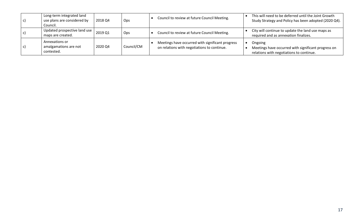| Long-term integrated land<br>use plans are considered by<br>Council. | 2018 Q4 | Ops        | Council to review at future Council Meeting.                                                    | This will need to be deferred until the Joint Growth<br>Study Strategy and Policy has been adopted (2020 Q4). |
|----------------------------------------------------------------------|---------|------------|-------------------------------------------------------------------------------------------------|---------------------------------------------------------------------------------------------------------------|
| Updated prospective land use<br>maps are created.                    | 2019 Q1 | Ops        | Council to review at future Council Meeting.                                                    | City will continue to update the land use maps as<br>required and as annexation finalizes.                    |
| Annexations or<br>amalgamations are not<br>contested.                | 2020 Q4 | Council/CM | Meetings have occurred with significant progress<br>on relations with negotiations to continue. | Ongoing<br>Meetings have occurred with significant progress on<br>relations with negotiations to continue.    |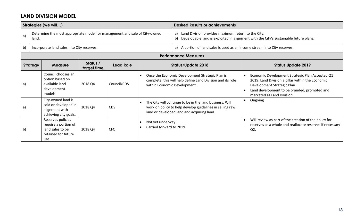#### **LAND DIVISION MODEL**

|                             |                                                                                  | Strategies (we will)                                                                         |         |             |                                             | <b>Desired Results or achievements</b>                                                                                                                            |                                                                                                                                                                                                                  |  |  |
|-----------------------------|----------------------------------------------------------------------------------|----------------------------------------------------------------------------------------------|---------|-------------|---------------------------------------------|-------------------------------------------------------------------------------------------------------------------------------------------------------------------|------------------------------------------------------------------------------------------------------------------------------------------------------------------------------------------------------------------|--|--|
| a)                          | land.                                                                            | Determine the most appropriate model for management and sale of City-owned                   |         |             |                                             | Land Division provides maximum return to the City.<br>a)<br>Developable land is exploited in alignment with the City's sustainable future plans.<br>b)            |                                                                                                                                                                                                                  |  |  |
| b)                          |                                                                                  | Incorporate land sales into City reserves.                                                   |         |             |                                             | a) A portion of land sales is used as an income stream into City reserves.                                                                                        |                                                                                                                                                                                                                  |  |  |
| <b>Performance Measures</b> |                                                                                  |                                                                                              |         |             |                                             |                                                                                                                                                                   |                                                                                                                                                                                                                  |  |  |
|                             | Status /<br><b>Lead Role</b><br><b>Strategy</b><br><b>Measure</b><br>target time |                                                                                              |         |             |                                             | <b>Status/Update 2018</b>                                                                                                                                         | <b>Status Update 2019</b>                                                                                                                                                                                        |  |  |
| a)                          |                                                                                  | Council chooses an<br>option based on<br>available land<br>development<br>models.            | 2018 Q4 | Council/CDS | within Economic Development.                | Once the Economic Development Strategic Plan is<br>complete, this will help define Land Division and its role                                                     | Economic Development Strategic Plan Accepted Q1<br>2019. Land Division a pillar within the Economic<br>Development Strategic Plan.<br>Land development to be branded, promoted and<br>marketed as Land Division. |  |  |
| $\mathsf{a}$                |                                                                                  | City-owned land is<br>sold or developed in<br>alignment with<br>achieving city goals.        | 2018 Q4 | <b>CDS</b>  |                                             | The City will continue to be in the land business. Will<br>work on policy to help develop guidelines in selling raw<br>land or developed land and acquiring land. | Ongoing<br>$\bullet$                                                                                                                                                                                             |  |  |
| b)                          |                                                                                  | Reserves policies<br>require a portion of<br>land sales to be<br>retained for future<br>use. | 2018 Q4 | <b>CFO</b>  | Not yet underway<br>Carried forward to 2019 |                                                                                                                                                                   | Will review as part of the creation of the policy for<br>reserves as a whole and reallocate reserves if necessary<br>$Q2$ .                                                                                      |  |  |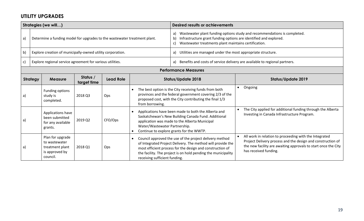#### **UTILITY UPGRADES**

|    |                                                                                           | Strategies (we will)                                                               |                                                                           |                                                                                                                                                             |                                                                                                                                                                                                 | <b>Desired results or achievements</b>                                                                                                                                                                                                               |  |                                                                                                                                                                                                                  |
|----|-------------------------------------------------------------------------------------------|------------------------------------------------------------------------------------|---------------------------------------------------------------------------|-------------------------------------------------------------------------------------------------------------------------------------------------------------|-------------------------------------------------------------------------------------------------------------------------------------------------------------------------------------------------|------------------------------------------------------------------------------------------------------------------------------------------------------------------------------------------------------------------------------------------------------|--|------------------------------------------------------------------------------------------------------------------------------------------------------------------------------------------------------------------|
| a) |                                                                                           | Determine a funding model for upgrades to the wastewater treatment plant.          |                                                                           |                                                                                                                                                             |                                                                                                                                                                                                 | Wastewater plant funding options study and recommendations is completed.<br>a)<br>Infrastructure grant funding options are identified and explored.<br>b)<br>Wastewater treatments plant maintains certification.<br>C)                              |  |                                                                                                                                                                                                                  |
| b) |                                                                                           | Explore creation of municipally-owned utility corporation.                         |                                                                           |                                                                                                                                                             |                                                                                                                                                                                                 | Utilities are managed under the most appropriate structure.<br>a)                                                                                                                                                                                    |  |                                                                                                                                                                                                                  |
| C) | Explore regional service agreement for various utilities.                                 |                                                                                    |                                                                           |                                                                                                                                                             |                                                                                                                                                                                                 | Benefits and costs of service delivery are available to regional partners.<br>a)                                                                                                                                                                     |  |                                                                                                                                                                                                                  |
|    |                                                                                           |                                                                                    |                                                                           |                                                                                                                                                             |                                                                                                                                                                                                 | <b>Performance Measures</b>                                                                                                                                                                                                                          |  |                                                                                                                                                                                                                  |
|    | <b>Strategy</b>                                                                           | <b>Measure</b>                                                                     | Status /<br>target time                                                   | <b>Lead Role</b>                                                                                                                                            | <b>Status/Update 2018</b>                                                                                                                                                                       |                                                                                                                                                                                                                                                      |  | <b>Status/Update 2019</b>                                                                                                                                                                                        |
| a) |                                                                                           | Funding options<br>study is<br>completed.                                          | 2018 Q3                                                                   | Ops                                                                                                                                                         | The best option is the City receiving funds from both<br>provinces and the federal government covering 2/3 of the<br>proposed cost, with the City contributing the final 1/3<br>from borrowing. |                                                                                                                                                                                                                                                      |  | Ongoing                                                                                                                                                                                                          |
| a) | Applications have<br>been submitted<br>2019 Q2<br>CFO/Ops<br>for any available<br>grants. |                                                                                    | Water/Wastewater Partnership.<br>Continue to explore grants for the WWTP. | Applications have been made to both the Alberta and<br>Saskatchewan's New Building Canada Fund. Additional<br>application was made to the Alberta Municipal |                                                                                                                                                                                                 | The City applied for additional funding through the Alberta<br>Investing in Canada Infrastructure Program.                                                                                                                                           |  |                                                                                                                                                                                                                  |
| a) |                                                                                           | Plan for upgrade<br>to wastewater<br>treatment plant<br>is approved by<br>council. | 2018 Q1                                                                   | Ops                                                                                                                                                         | $\bullet$<br>receiving sufficient funding.                                                                                                                                                      | Council approved the use of the project delivery method<br>of Integrated Project Delivery. The method will provide the<br>most efficient process for the design and construction of<br>the facility. The project is on hold pending the municipality |  | All work in relation to proceeding with the Integrated<br>Project Delivery process and the design and construction of<br>the new facility are awaiting approvals to start once the City<br>has received funding. |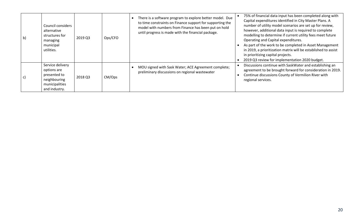| $\mathsf{b}$ | Council considers<br>alternative<br>structures for<br>managing<br>municipal<br>utilities.          | 2019 Q3 | Ops/CFO | There is a software program to explore better model. Due<br>to time constraints on Finance support for supporting the<br>model with numbers from Finance has been put on hold<br>until progress is made with the financial package. | 75% of financial data input has been completed along with<br>Capital expenditures identified in City Master Plans. A<br>number of utility model scenarios are set up for review,<br>however, additional data input is required to complete<br>modelling to determine if current utility fees meet future<br>Operating and Capital expenditures.<br>As part of the work to be completed in Asset Management<br>in 2019, a prioritization matrix will be established to assist<br>in prioritizing capital projects.<br>2019 Q3 review for implementation 2020 budget. |
|--------------|----------------------------------------------------------------------------------------------------|---------|---------|-------------------------------------------------------------------------------------------------------------------------------------------------------------------------------------------------------------------------------------|---------------------------------------------------------------------------------------------------------------------------------------------------------------------------------------------------------------------------------------------------------------------------------------------------------------------------------------------------------------------------------------------------------------------------------------------------------------------------------------------------------------------------------------------------------------------|
| c)           | Service delivery<br>options are<br>presented to<br>neighbouring<br>municipalities<br>and industry. | 2018 Q3 | CM/Ops  | MOU signed with Sask Water; ACE Agreement complete;<br>preliminary discussions on regional wastewater                                                                                                                               | Discussions continue with SaskWater and establishing an<br>agreement to be brought forward for consideration in 2019.<br>Continue discussions County of Vermilion River with<br>regional services.                                                                                                                                                                                                                                                                                                                                                                  |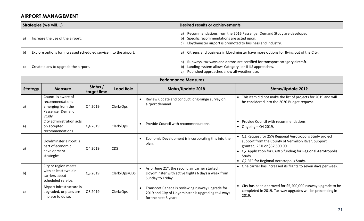#### **AIRPORT MANAGEMENT**

|                                                                                  | Strategies (we will)                                                                     |         |               |                                       | <b>Desired results or achievements</b>                                                                                                                                                                    |                                                                                                                                                                                                                                                                      |  |  |
|----------------------------------------------------------------------------------|------------------------------------------------------------------------------------------|---------|---------------|---------------------------------------|-----------------------------------------------------------------------------------------------------------------------------------------------------------------------------------------------------------|----------------------------------------------------------------------------------------------------------------------------------------------------------------------------------------------------------------------------------------------------------------------|--|--|
| a)                                                                               | Increase the use of the airport.                                                         |         |               |                                       | Recommendations from the 2016 Passenger Demand Study are developed.<br>a)<br>Specific recommendations are acted upon.<br>b)<br>Lloydminster airport is promoted to business and industry.<br>$\mathsf{c}$ |                                                                                                                                                                                                                                                                      |  |  |
| b)                                                                               | Explore options for increased scheduled service into the airport.                        |         |               |                                       | Citizens and business in Lloydminster have more options for flying out of the City.<br>a)                                                                                                                 |                                                                                                                                                                                                                                                                      |  |  |
| $\mathsf{C}$                                                                     | Create plans to upgrade the airport.                                                     |         |               |                                       | Runways, taxiways and aprons are certified for transport category aircraft.<br>a)<br>Landing system allows Category I or II ILS approaches.<br>b)<br>Published approaches allow all-weather use.<br>c)    |                                                                                                                                                                                                                                                                      |  |  |
|                                                                                  |                                                                                          |         |               |                                       | <b>Performance Measures</b>                                                                                                                                                                               |                                                                                                                                                                                                                                                                      |  |  |
| Status /<br><b>Strategy</b><br><b>Lead Role</b><br><b>Measure</b><br>target time |                                                                                          |         |               |                                       | <b>Status/Update 2018</b>                                                                                                                                                                                 | <b>Status/Update 2019</b>                                                                                                                                                                                                                                            |  |  |
| a)                                                                               | Council is aware of<br>recommendations<br>emerging from the<br>Passenger Demand<br>Study | Q4 2019 | Clerk/Ops     | airport demand.                       | Review update and conduct long-range survey on                                                                                                                                                            | • This item did not make the list of projects for 2019 and will<br>be considered into the 2020 Budget request.                                                                                                                                                       |  |  |
| a)                                                                               | City administration acts<br>on accepted<br>recommendations.                              | Q4 2019 | Clerk/Ops     | Provide Council with recommendations. |                                                                                                                                                                                                           | • Provide Council with recommendations.<br>$\bullet$ Ongoing - Q4 2019.                                                                                                                                                                                              |  |  |
| a)                                                                               | Lloydminster airport is<br>part of economic<br>development<br>strategies.                | Q4 2019 | <b>CDS</b>    | plan.                                 | Economic Development is incorporating this into their                                                                                                                                                     | Q1 Request for 25% Regional Aerotropolis Study project<br>support from the County of Vermilion River. Support<br>granted, 25% or \$37,500.00.<br>• Q2 Application for CARES funding for Regional Aerotropolis<br>Study.<br>• Q2 RFP for Regional Aerotropolis Study. |  |  |
| b)                                                                               | City or region meets<br>with at least two air<br>carriers about<br>scheduled service.    | Q3 2019 | Clerk/Ops/CDS | Sunday to Friday.                     | • As of June $21^{st}$ , the second air carrier started in<br>Lloydminster with active flights 6 days a week from                                                                                         | • One carrier has increased its flights to seven days per week.                                                                                                                                                                                                      |  |  |
| C)                                                                               | Airport infrastructure is<br>upgraded, or plans are<br>in place to do so.                | Q3 2019 | Clerk/Ops     | for the next 3 years                  | Transport Canada is reviewing runway upgrade for<br>2019 and City of Lloydminster is upgrading taxi ways                                                                                                  | City has been approved for \$5,200,000 runway upgrade to be<br>completed in 2019. Taxiway upgrades will be proceeding in<br>2019.                                                                                                                                    |  |  |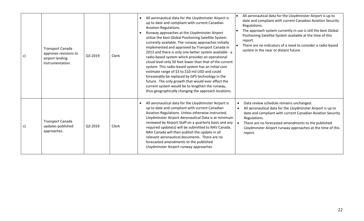| $\mathsf{c})$ | <b>Transport Canada</b><br>approves revisions to<br>airport landing<br>instrumentation. | Q3 2019 | Clerk | All aeronautical data for the Lloydminster Airport is<br>up to date and compliant with current Canadian<br><b>Aviation Regulations.</b><br>Runway approaches at the Lloydminster Airport<br>utilize the best Global Positioning Satellite System<br>currently available. The runway approaches initially<br>implemented and approved by Transport Canada in<br>2013 and there is only one better system available - a<br>radio-based system which provides an operational<br>cloud level only 50 feet lower than that of the current<br>system. This radio-based system has an initial cost<br>estimate range of \$3 to \$10 mil USD and could<br>foreseeably be replaced by GPS technology in the<br>future. The only growth that would ever affect the<br>current system would be to lengthen the runway,<br>thus geographically changing the approach locations. | All aeronautical data for the Lloydminster Airport is up to<br>date and compliant with current Canadian Aviation Security<br>Regulations.<br>The approach system currently in use is still the best Global<br>Positioning Satellite System available at the time of this<br>report.<br>There are no indicators of a need to consider a radio-based<br>system in the near or distant future. |
|---------------|-----------------------------------------------------------------------------------------|---------|-------|---------------------------------------------------------------------------------------------------------------------------------------------------------------------------------------------------------------------------------------------------------------------------------------------------------------------------------------------------------------------------------------------------------------------------------------------------------------------------------------------------------------------------------------------------------------------------------------------------------------------------------------------------------------------------------------------------------------------------------------------------------------------------------------------------------------------------------------------------------------------|---------------------------------------------------------------------------------------------------------------------------------------------------------------------------------------------------------------------------------------------------------------------------------------------------------------------------------------------------------------------------------------------|
| $\mathsf{c})$ | <b>Transport Canada</b><br>updates published<br>approaches.                             | Q3 2019 | Clerk | All aeronautical data for the Lloydminster Airport is<br>up to date and compliant with current Canadian<br>Aviation Regulations. Unless otherwise instructed,<br>Lloydminster Airport Aeronautical Data is at minimum<br>reviewed by Airport Staff on a quarterly basis and any<br>required update(s) will be submitted to NAV Canada.<br>NAV Canada will then publish the update in all<br>relevant aeronautical documents. There are no<br>forecasted amendments to the published<br>Lloydminster Airport runway approaches                                                                                                                                                                                                                                                                                                                                       | Data review schedule remains unchanged.<br>$\bullet$<br>All aeronautical data for the Lloydminster Airport is up to<br>$\bullet$<br>date and compliant with current Canadian Aviation Security<br>Regulations.<br>There are no forecasted amendments to the published<br>Lloydminster Airport runway approaches at the time of this<br>report.                                              |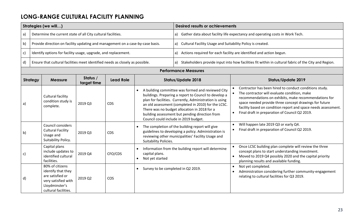## **LONG-RANGE CULTURAL FACILITY PLANNING**

|              |                 | Strategies (we will)                                                                                                       |                         |                  |                                                             | <b>Desired results or achievements</b>                                                                                                                                                                                                                                                                                                                                  |                                                                                                                                                                                                                                                                                                                                               |  |  |
|--------------|-----------------|----------------------------------------------------------------------------------------------------------------------------|-------------------------|------------------|-------------------------------------------------------------|-------------------------------------------------------------------------------------------------------------------------------------------------------------------------------------------------------------------------------------------------------------------------------------------------------------------------------------------------------------------------|-----------------------------------------------------------------------------------------------------------------------------------------------------------------------------------------------------------------------------------------------------------------------------------------------------------------------------------------------|--|--|
| a)           |                 | Determine the current state of all City cultural facilities.                                                               |                         |                  |                                                             | a) Gather data about facility life expectancy and operating costs in Work Tech.                                                                                                                                                                                                                                                                                         |                                                                                                                                                                                                                                                                                                                                               |  |  |
| b)           |                 | Provide direction on facility updating and management on a case-by-case basis.                                             |                         |                  |                                                             |                                                                                                                                                                                                                                                                                                                                                                         | a) Cultural Facility Usage and Suitability Policy is created.                                                                                                                                                                                                                                                                                 |  |  |
| c)           |                 | Identify options for facility usage, upgrade, and replacement.                                                             |                         |                  |                                                             |                                                                                                                                                                                                                                                                                                                                                                         | a) Actions required for each facility are identified and action begun.                                                                                                                                                                                                                                                                        |  |  |
| d)           |                 | Ensure that cultural facilities meet identified needs as closely as possible.                                              |                         |                  |                                                             |                                                                                                                                                                                                                                                                                                                                                                         | a) Stakeholders provide input into how facilities fit within in cultural fabric of the City and Region.                                                                                                                                                                                                                                       |  |  |
|              |                 |                                                                                                                            |                         |                  |                                                             | <b>Performance Measures</b>                                                                                                                                                                                                                                                                                                                                             |                                                                                                                                                                                                                                                                                                                                               |  |  |
|              | <b>Strategy</b> | <b>Measure</b>                                                                                                             | Status /<br>target time | <b>Lead Role</b> |                                                             | <b>Status/Update 2018</b>                                                                                                                                                                                                                                                                                                                                               | <b>Status/Update 2019</b>                                                                                                                                                                                                                                                                                                                     |  |  |
| a)           |                 | Cultural facility<br>condition study is<br>complete.                                                                       | 2019 Q3                 | <b>CDS</b>       |                                                             | A building committee was formed and reviewed City<br>buildings. Preparing a report to Council to develop a<br>plan for facilities. Currently, Administration is using<br>an old assessment (completed in 2010) for the LCSC.<br>There was no budget allocation in 2018 for a<br>building assessment but pending direction from<br>Council could include in 2019 budget. | Contractor has been hired to conduct conditions study.<br>The contractor will evaluate condition, make<br>recommendations on exhibits, make recommendations for<br>space needed provide three concept drawings for future<br>facility based on condition report and space needs assessment.<br>Final draft in preparation of Council Q2 2019. |  |  |
| b)           |                 | Council considers<br><b>Cultural Facility</b><br>Usage and<br>Suitability Policy.                                          | 2019 Q3                 | <b>CDS</b>       | Suitability Policies.                                       | The completion of the building report will give<br>guidelines to developing a policy. Administration is<br>reviewing other municipalities' Facility Usage and                                                                                                                                                                                                           | Will happen late 2019 Q3 or early Q4.<br>Final draft in preparation of Council Q2 2019.                                                                                                                                                                                                                                                       |  |  |
| c)           |                 | Capital plans<br>include updates to<br>identified cultural<br>facilities.                                                  | 2019 Q4                 | CFO/CDS          | $\bullet$<br>capital plans.<br>Not yet started<br>$\bullet$ | Information from the building report will determine                                                                                                                                                                                                                                                                                                                     | Once LCSC building plan complete will review the three<br>concept plans to start understanding investment.<br>Moved to 2019 Q4 possibly 2020 and the capital priority<br>planning results and available funding.                                                                                                                              |  |  |
| $\mathsf{d}$ |                 | 80% of citizens<br>identify that they<br>are satisfied or<br>very satisfied with<br>Lloydminster's<br>cultural facilities. | 2019 Q2                 | COS              | Survey to be completed in Q2 2019.<br>$\bullet$             |                                                                                                                                                                                                                                                                                                                                                                         | Not yet completed.<br>Administration considering further community-engagement<br>relating to cultural facilities for Q3 2019.                                                                                                                                                                                                                 |  |  |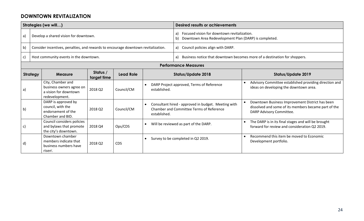#### **DOWNTOWN REVITALIZATION**

|              |                                                                                  | Strategies (we will)                                                                     |         |            |                                                           | <b>Desired results or achievements</b>                                                                           |  |                                                                                                                                     |  |  |  |
|--------------|----------------------------------------------------------------------------------|------------------------------------------------------------------------------------------|---------|------------|-----------------------------------------------------------|------------------------------------------------------------------------------------------------------------------|--|-------------------------------------------------------------------------------------------------------------------------------------|--|--|--|
| a)           |                                                                                  | Develop a shared vision for downtown.                                                    |         |            |                                                           | Focused vision for downtown revitalization.<br>a)<br>Downtown Area Redevelopment Plan (DARP) is completed.<br>b) |  |                                                                                                                                     |  |  |  |
| b)           |                                                                                  | Consider incentives, penalties, and rewards to encourage downtown revitalization.        |         |            |                                                           | Council policies align with DARP.<br>a)                                                                          |  |                                                                                                                                     |  |  |  |
| $\mathsf{c}$ |                                                                                  | Host community events in the downtown.                                                   |         |            |                                                           | Business notice that downtown becomes more of a destination for shoppers.<br>a)                                  |  |                                                                                                                                     |  |  |  |
|              | <b>Performance Measures</b>                                                      |                                                                                          |         |            |                                                           |                                                                                                                  |  |                                                                                                                                     |  |  |  |
|              | Status /<br><b>Strategy</b><br><b>Lead Role</b><br><b>Measure</b><br>target time |                                                                                          |         |            |                                                           | <b>Status/Update 2018</b>                                                                                        |  | <b>Status/Update 2019</b>                                                                                                           |  |  |  |
| a)           |                                                                                  | City, Chamber and<br>business owners agree on<br>a vision for downtown<br>redevelopment. | 2018 Q2 | Council/CM | DARP Project approved, Terms of Reference<br>established. |                                                                                                                  |  | Advisory Committee established providing direction and<br>ideas on developing the downtown area.                                    |  |  |  |
| b)           |                                                                                  | DARP is approved by<br>council, with the<br>endorsement of the<br>Chamber and BID.       | 2018 Q2 | Council/CM | established.                                              | Consultant hired - approved in budget. Meeting with<br>Chamber and Committee Terms of Reference                  |  | Downtown Business Improvement District has been<br>dissolved and some of its members became part of the<br>DARP Advisory Committee. |  |  |  |
| c)           |                                                                                  | Council considers policies<br>and bylaws that promote<br>the city's downtown.            | 2018 Q4 | Ops/CDS    | Will be reviewed as part of the DARP.<br>$\bullet$        |                                                                                                                  |  | The DARP is in its final stages and will be brought<br>forward for review and consideration Q2 2019.                                |  |  |  |
| d)           |                                                                                  | Downtown chamber<br>members indicate that<br>business numbers have<br>risen'.            | 2018 Q2 | <b>CDS</b> |                                                           | Survey to be completed in Q2 2019.                                                                               |  | Recommend this item be moved to Economic<br>Development portfolio.                                                                  |  |  |  |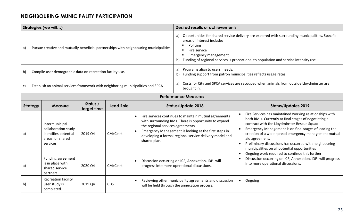#### **NEIGHBOURING MUNICIPALITY PARTICIPATION**

|    |                 | Strategies (we will)                                                                           |                         |                  |                                                                                        | <b>Desired results or achievements</b>                                                                                                                                                                                                                                                         |                                                                                                                                                                                                                                                                                                                                                                                                                                                                    |  |  |
|----|-----------------|------------------------------------------------------------------------------------------------|-------------------------|------------------|----------------------------------------------------------------------------------------|------------------------------------------------------------------------------------------------------------------------------------------------------------------------------------------------------------------------------------------------------------------------------------------------|--------------------------------------------------------------------------------------------------------------------------------------------------------------------------------------------------------------------------------------------------------------------------------------------------------------------------------------------------------------------------------------------------------------------------------------------------------------------|--|--|
| a) |                 |                                                                                                |                         |                  | Pursue creative and mutually beneficial partnerships with neighbouring municipalities. | Opportunities for shared service delivery are explored with surrounding municipalities. Specific<br>a)<br>areas of interest include:<br>Policing<br>Fire service<br><b>Emergency management</b><br>Funding of regional services is proportional to population and service intensity use.<br>b) |                                                                                                                                                                                                                                                                                                                                                                                                                                                                    |  |  |
| b) |                 | Compile user demographic data on recreation facility use.                                      |                         |                  |                                                                                        | Programs align to users' needs.<br>a)<br>Funding support from patron municipalities reflects usage rates.<br>b)                                                                                                                                                                                |                                                                                                                                                                                                                                                                                                                                                                                                                                                                    |  |  |
| c) |                 | Establish an animal services framework with neighboring municipalities and SPCA                |                         |                  |                                                                                        | brought in.                                                                                                                                                                                                                                                                                    | a) Costs for City and SPCA services are recouped when animals from outside Lloydminster are                                                                                                                                                                                                                                                                                                                                                                        |  |  |
|    |                 |                                                                                                |                         |                  |                                                                                        | <b>Performance Measures</b>                                                                                                                                                                                                                                                                    |                                                                                                                                                                                                                                                                                                                                                                                                                                                                    |  |  |
|    | <b>Strategy</b> | <b>Measure</b>                                                                                 | Status /<br>target time | <b>Lead Role</b> |                                                                                        | <b>Status/Update 2018</b>                                                                                                                                                                                                                                                                      | <b>Status/Updates 2019</b>                                                                                                                                                                                                                                                                                                                                                                                                                                         |  |  |
| a) |                 | Intermunicipal<br>collaboration study<br>identifies potential<br>areas for shared<br>services. | 2019 Q4                 | CM/Clerk         | the regional services agreements.<br>shared plan.                                      | Fire services continues to maintain mutual agreements<br>with surrounding RMs. There is opportunity to expand<br>Emergency Management is looking at the first steps in<br>developing a formal regional service delivery model and                                                              | Fire Services has maintained working relationships with<br>both RM's. Currently at final stages of negotiating a<br>contract with the Lloydminster Rescue Squad.<br>Emergency Management is on final stages of leading the<br>creation of a wide-spread emergency management mutual<br>aid agreement.<br>Preliminary discussions has occurred with neighbouring<br>municipalities on all potential opportunities<br>Ongoing work required to continue this further |  |  |
| a) |                 | Funding agreement<br>is in place with<br>shared service<br>partners.                           | 2020 Q4                 | CM/Clerk         |                                                                                        | Discussion occurring on ICF; Annexation, IDP- will<br>progress into more operational discussions.                                                                                                                                                                                              | Discussion occurring on ICF; Annexation, IDP- will progress<br>into more operational discussions.                                                                                                                                                                                                                                                                                                                                                                  |  |  |
| b) |                 | <b>Recreation facility</b><br>user study is<br>completed.                                      | 2019 Q4                 | <b>CDS</b>       |                                                                                        | Reviewing other municipality agreements and discussion<br>will be held through the annexation process.                                                                                                                                                                                         | Ongoing<br>$\bullet$                                                                                                                                                                                                                                                                                                                                                                                                                                               |  |  |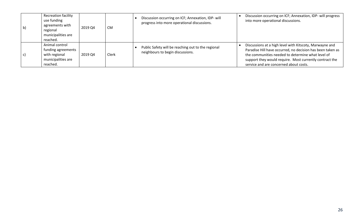| $\mathsf{b}$ | <b>Recreation facility</b><br>use funding<br>agreements with<br>regional<br>municipalities are<br>reached. | 2019 Q4 | <b>CM</b> | Discussion occurring on ICF; Annexation, IDP- will<br>progress into more operational discussions. | Discussion occurring on ICF; Annexation, IDP- will progress<br>into more operational discussions.                                                                                                                                                                               |
|--------------|------------------------------------------------------------------------------------------------------------|---------|-----------|---------------------------------------------------------------------------------------------------|---------------------------------------------------------------------------------------------------------------------------------------------------------------------------------------------------------------------------------------------------------------------------------|
|              | Animal control<br>funding agreements<br>with regional<br>municipalities are<br>reached.                    | 2019 Q4 | Clerk     | Public Safety will be reaching out to the regional<br>neighbours to begin discussions.            | Discussions at a high level with Kitscoty, Marwayne and<br>Paradise Hill have occurred, no decision has been taken as<br>the communities needed to determine what level of<br>support they would require. Most currently contract the<br>service and are concerned about costs. |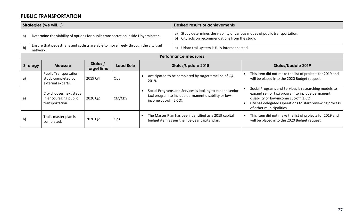#### **PUBLIC TRANSPORTATION**

|                 |                                                                                   | Strategies (we will)                                                                |                         |            |                                                                                                                                                         | <b>Desired results or achievements</b>                                                                                                |                                                                                                                                                                                                                                            |  |  |  |
|-----------------|-----------------------------------------------------------------------------------|-------------------------------------------------------------------------------------|-------------------------|------------|---------------------------------------------------------------------------------------------------------------------------------------------------------|---------------------------------------------------------------------------------------------------------------------------------------|--------------------------------------------------------------------------------------------------------------------------------------------------------------------------------------------------------------------------------------------|--|--|--|
| a)              | Determine the viability of options for public transportation inside Lloydminster. |                                                                                     |                         |            |                                                                                                                                                         | Study determines the viability of various modes of public transportation.<br>a)<br>City acts on recommendations from the study.<br>b) |                                                                                                                                                                                                                                            |  |  |  |
| b)              | network.                                                                          | Ensure that pedestrians and cyclists are able to move freely through the city trail |                         |            |                                                                                                                                                         | a)<br>Urban trail system is fully interconnected.                                                                                     |                                                                                                                                                                                                                                            |  |  |  |
|                 | <b>Performance measures</b>                                                       |                                                                                     |                         |            |                                                                                                                                                         |                                                                                                                                       |                                                                                                                                                                                                                                            |  |  |  |
| <b>Strategy</b> |                                                                                   | <b>Measure</b>                                                                      | Status /<br>target time | Lead Role  | Status/Update 2018                                                                                                                                      |                                                                                                                                       | <b>Status/Update 2019</b>                                                                                                                                                                                                                  |  |  |  |
| a)              |                                                                                   | <b>Public Transportation</b><br>study completed by<br>external experts.             | 2019 Q4                 | <b>Ops</b> | 2019.                                                                                                                                                   | Anticipated to be completed by target timeline of Q4                                                                                  | This item did not make the list of projects for 2019 and<br>will be placed into the 2020 Budget request.                                                                                                                                   |  |  |  |
| a)              |                                                                                   | City chooses next steps<br>in encouraging public<br>transportation.                 | 2020 Q2                 | CM/CDS     | Social Programs and Services is looking to expand senior<br>$\bullet$<br>taxi program to include permanent disability or low-<br>income cut-off (LICO). |                                                                                                                                       | Social Programs and Services is researching models to<br>expand senior taxi program to include permanent<br>disability or low-income cut-off (LICO).<br>CM has delegated Operations to start reviewing process<br>of other municipalities. |  |  |  |
| $\mathsf{b}$    |                                                                                   | Trails master plan is<br>completed.                                                 | 2020 Q2                 | Ops        | $\bullet$                                                                                                                                               | The Master Plan has been identified as a 2019 capital<br>budget item as per the five-year capital plan.                               | This item did not make the list of projects for 2019 and<br>will be placed into the 2020 Budget request.                                                                                                                                   |  |  |  |